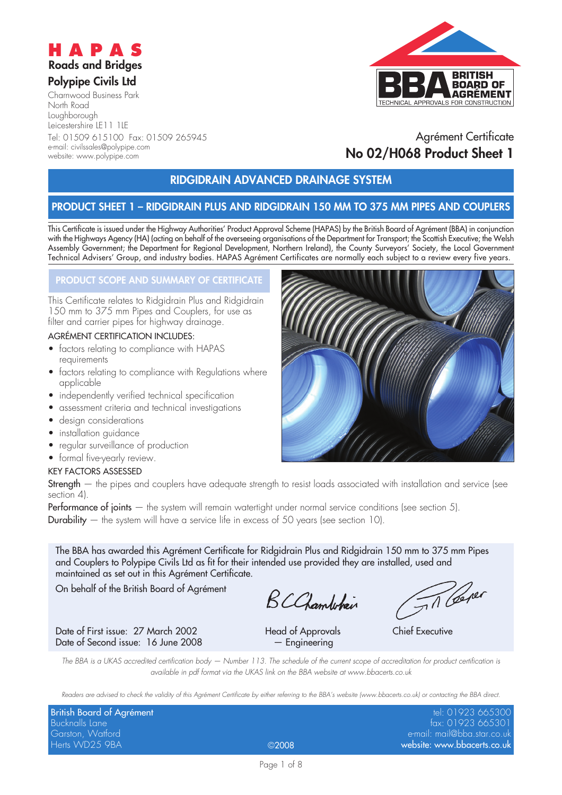

#### **Polypipe Civils Ltd**

website: www.polypipe.com

Charnwood Business Park North Road Loughborough Leicestershire LE11 1LE Tel: 01509 615100 Fax: 01509 265945 e-mail: civilssales@polypipe.com



## Agrément Certificate **No 02/H068 Product Sheet 1**

### **RIDGIDRAIN ADVANCED DRAINAGE SYSTEM**

### **PRODUCT SHEET 1 – RIDGIDRAIN PLUS AND RIDGIDRAIN 150 MM TO 375 MM PIPES AND COUPLERS**

This Certificate is issued under the Highway Authorities' Product Approval Scheme (HAPAS) by the British Board of Agrément (BBA) in conjunction with the Highways Agency (HA) (acting on behalf of the overseeing organisations of the Department for Transport; the Scottish Executive; the Welsh Assembly Government; the Department for Regional Development, Northern Ireland), the County Surveyors' Society, the Local Government Technical Advisers' Group, and industry bodies. HAPAS Agrément Certificates are normally each subject to a review every five years.

#### **PRODUCT SCOPE AND SUMMARY OF CERTIFICATE**

This Certificate relates to Ridgidrain Plus and Ridgidrain 150 mm to 375 mm Pipes and Couplers, for use as filter and carrier pipes for highway drainage.

#### AGRÉMENT CERTIFICATION INCLUDES:

- factors relating to compliance with HAPAS requirements
- factors relating to compliance with Regulations where applicable
- independently verified technical specification
- assessment criteria and technical investigations
- design considerations
- installation guidance
- regular surveillance of production
- formal five-yearly review.

#### KEY FACTORS ASSESSED

Strength – the pipes and couplers have adequate strength to resist loads associated with installation and service (see section 4).

Performance of joints — the system will remain watertight under normal service conditions (see section 5). **Durability**  $-$  the system will have a service life in excess of 50 years (see section 10).

The BBA has awarded this Agrément Certificate for Ridgidrain Plus and Ridgidrain 150 mm to 375 mm Pipes and Couplers to Polypipe Civils Ltd as fit for their intended use provided they are installed, used and maintained as set out in this Agrément Certificate.

On behalf of the British Board of Agrément

BCChambehain

Date of First issue: 27 March 2002 Head of Approvals Chief Executive Date of Second issue: 16 June 2008 - Engineering

Til Cerer

The BBA is a UKAS accredited certification body – Number 113. The schedule of the current scope of accreditation for product certification is available in pdf format via the UKAS link on the BBA website at www.bbacerts.co.uk

Readers are advised to check the validity of this Agrément Certificate by either referring to the BBA's website (www.bbacerts.co.uk) or contacting the BBA direct.

| British Board of Agrément |              | tel: 01923 665300           |
|---------------------------|--------------|-----------------------------|
| Bucknalls Lane            |              | fax: 01923 665301           |
| Garston, Watford          |              | e-mail: mail@bba.star.co.uk |
| Herts WD25 9BA            | $\odot$ 2008 | website: www.bbacerts.co.uk |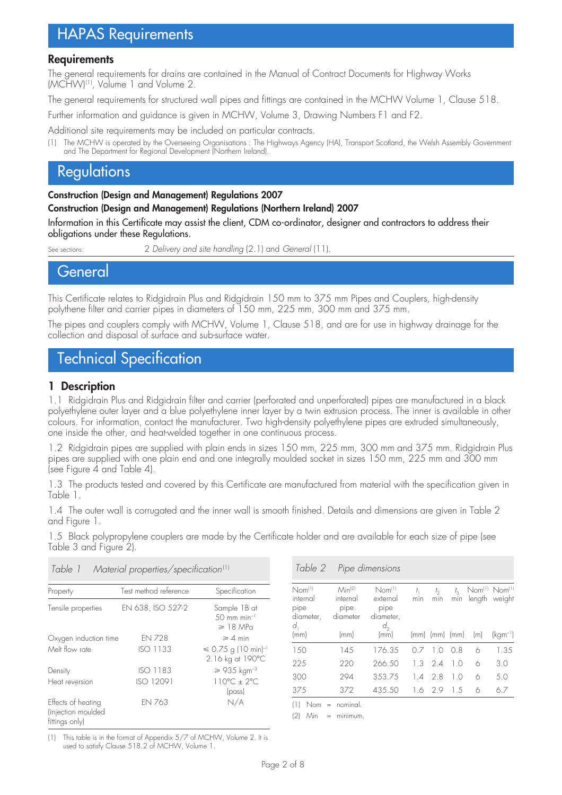# HAPAS Requirements

#### **Requirements**

The general requirements for drains are contained in the Manual of Contract Documents for Highway Works (MCHW)(1), Volume 1 and Volume 2.

The general requirements for structured wall pipes and fittings are contained in the MCHW Volume 1, Clause 518.

Further information and guidance is given in MCHW, Volume 3, Drawing Numbers F1 and F2.

Additional site requirements may be included on particular contracts.

(1) The MCHW is operated by the Overseeing Organisations : The Highways Agency (HA), Transport Scotland, the Welsh Assembly Government and The Department for Regional Development (Northern Ireland).

# **Regulations**

**Construction (Design and Management) Regulations 2007**

**Construction (Design and Management) Regulations (Northern Ireland) 2007**

Information in this Certificate may assist the client, CDM co-ordinator, designer and contractors to address their obligations under these Regulations.

See sections: 2 Delivery and site handling (2.1) and General (11).

**General** 

This Certificate relates to Ridgidrain Plus and Ridgidrain 150 mm to 375 mm Pipes and Couplers, high-density polythene filter and carrier pipes in diameters of 150 mm, 225 mm, 300 mm and 375 mm.

The pipes and couplers comply with MCHW, Volume 1, Clause 518, and are for use in highway drainage for the collection and disposal of surface and sub-surface water.

# Technical Specification

#### **1 Description**

1.1 Ridgidrain Plus and Ridgidrain filter and carrier (perforated and unperforated) pipes are manufactured in a black polyethylene outer layer and a blue polyethylene inner layer by a twin extrusion process. The inner is available in other colours. For information, contact the manufacturer. Two high-density polyethylene pipes are extruded simultaneously, one inside the other, and heat-welded together in one continuous process.

1.2 Ridgidrain pipes are supplied with plain ends in sizes 150 mm, 225 mm, 300 mm and 375 mm. Ridgidrain Plus pipes are supplied with one plain end and one integrally moulded socket in sizes 150 mm, 225 mm and 300 mm (see Figure 4 and Table 4).

1.3 The products tested and covered by this Certificate are manufactured from material with the specification given in Table 1.

1.4 The outer wall is corrugated and the inner wall is smooth finished. Details and dimensions are given in Table 2 and Figure 1.

1.5 Black polypropylene couplers are made by the Certificate holder and are available for each size of pipe (see Table 3 and Figure 2).

| Table 1                                                    | Material properties/specification <sup>(1)</sup> |                                                                     |  |
|------------------------------------------------------------|--------------------------------------------------|---------------------------------------------------------------------|--|
| Property                                                   | Test method reference                            | Specification                                                       |  |
| Tensile properties                                         | EN 638, ISO 527-2                                | Sample 1B at<br>$.50 \, \text{mm} \text{min}^{-1}$<br>$\geq 18$ MPa |  |
| Oxygen induction time                                      | <b>FN 728</b>                                    | $\geqslant$ 4 min                                                   |  |
| Melt flow rate                                             | ISO 1133                                         | $\leq 0.75$ g (10 min) <sup>-1</sup><br>2.16 kg at 190°C            |  |
| Density                                                    | <b>ISO 1183</b>                                  | $\geq 935 \ \mathrm{kgm^{-3}}$                                      |  |
| Heat reversion                                             | ISO 12091                                        | $110^{\circ}C + 2^{\circ}C$<br>$(p$ ass                             |  |
| Effects of heating<br>(injection moulded<br>fittings only) | <b>FN 763</b>                                    | N/A                                                                 |  |

Table 2 Pipe dimensions

| Nom <sup>(1)</sup><br>internal<br>pipe | Min <sup>(2)</sup><br>internal<br>pipe | $N$ om $^{(1)}$<br>external<br>pipe | min | t,<br>min      | $t_{3}$<br>min | Nom <sup>(1)</sup> Nom <sup>(1)</sup><br>length weight |              |
|----------------------------------------|----------------------------------------|-------------------------------------|-----|----------------|----------------|--------------------------------------------------------|--------------|
| diameter,                              | diameter                               | diameter,                           |     |                |                |                                                        |              |
| d,                                     |                                        | $d_{\gamma}$                        |     |                |                |                                                        |              |
| (mm)                                   | (mm)                                   | (mm)                                |     | (mm) (mm) (mm) |                | (m)                                                    | $(kqm^{-1})$ |
| 150                                    | 145                                    | 176.35                              | 07  | 10             | O8             | 6                                                      | 1.35         |
| 225                                    | 220                                    | 266.50                              | 1.3 | 2.4            | 10             | 6                                                      | 3.0          |
| 300                                    | 294                                    | 353.75                              | 1.4 | -2.8           | 10             | 6                                                      | 5.0          |
| 375                                    | 372                                    | 435.50                              | 1.6 | -2.9           | 1.5            | 6                                                      | 6.7          |

(1) Nom = nominal.

 $(2)$  Min = minimum

(1) This table is in the format of Appendix 5/7 of MCHW, Volume 2. It is used to satisfy Clause 518.2 of MCHW, Volume 1.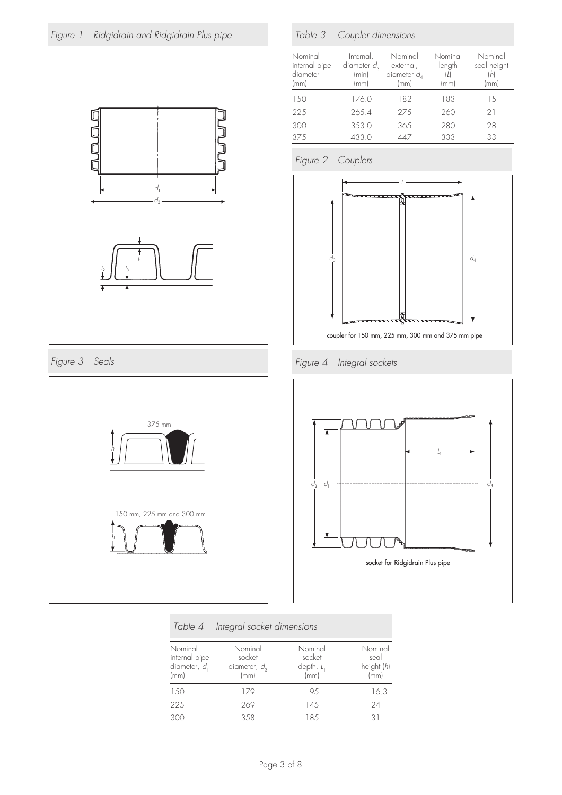



Figure 3 Seals



### Table 3 Coupler dimensions

| Nominal<br>internal pipe<br>diameter<br>(mm) | Internal,<br>diameter $d_3$<br>(min)<br>(mm) | Nominal<br>external,<br>diameter $d_A$<br>$\mathsf{mm}$ | Nominal<br>length<br>(mm) | Nominal<br>seal height<br>'hl<br>(mm |
|----------------------------------------------|----------------------------------------------|---------------------------------------------------------|---------------------------|--------------------------------------|
| 150                                          | 176.0                                        | 182                                                     | 183                       | 1.5                                  |
| 225                                          | 265.4                                        | 275                                                     | 260                       | 21                                   |
| 300                                          | 353.0                                        | 365                                                     | 280                       | 28                                   |
| 375                                          | 433.0                                        |                                                         | 333                       | 33                                   |

### Figure 2 Couplers



Figure 4 Integral sockets



#### Table 4 Integral socket dimensions

| Nominal<br>internal pipe<br>diameter, d<br>(mm) | Nominal<br>socket<br>diameter, $d_3$<br>(mm) | Nominal<br>socket<br>depth, $l_1$<br>(mm) | Nominal<br>seal<br>height (h)<br>(mm) |
|-------------------------------------------------|----------------------------------------------|-------------------------------------------|---------------------------------------|
| 150                                             | 179                                          | 95                                        | 16.3                                  |
| 225                                             | 269                                          | 14.5                                      | 24                                    |
| 300                                             | 358                                          | 18.5                                      | 31                                    |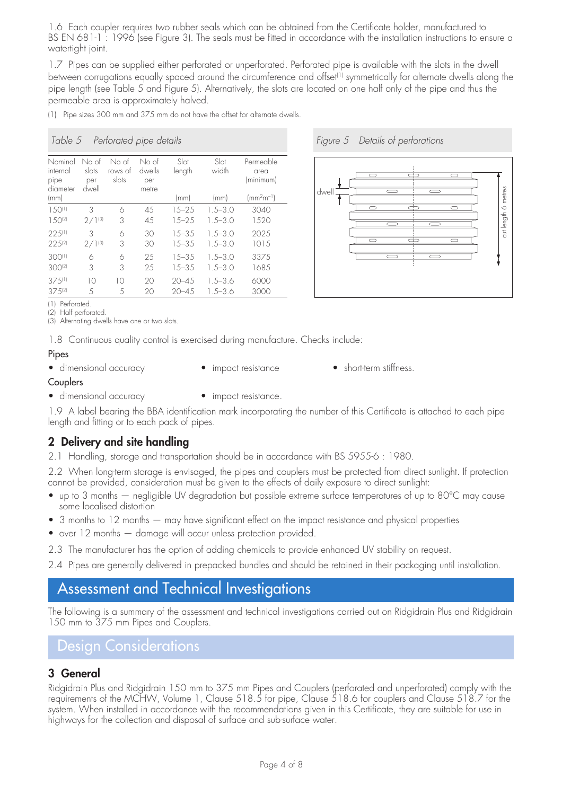1.6 Each coupler requires two rubber seals which can be obtained from the Certificate holder, manufactured to BS EN 681-1: 1996 (see Figure 3). The seals must be fitted in accordance with the installation instructions to ensure a watertight joint.

1.7 Pipes can be supplied either perforated or unperforated. Perforated pipe is available with the slots in the dwell between corrugations equally spaced around the circumference and offset<sup>(1)</sup> symmetrically for alternate dwells along the pipe length (see Table 5 and Figure 5). Alternatively, the slots are located on one half only of the pipe and thus the permeable area is approximately halved.

(1) Pipe sizes 300 mm and 375 mm do not have the offset for alternate dwells.

#### Table 5 Perforated pipe details

| Nominal<br>internal<br>pipe<br>diameter | No of<br>slots<br>per<br>dwell | No of<br>rows of<br>slots | No of<br>dwells<br>per<br>metre | Slot<br>length | Slot<br>width | Permeable<br>area<br>(minimum) |
|-----------------------------------------|--------------------------------|---------------------------|---------------------------------|----------------|---------------|--------------------------------|
| (mm)                                    |                                |                           |                                 | (mm)           | (mm)          | $\rm (mm^2m^{-1})$             |
| 1.50(1)                                 | 3                              | 6                         | 45                              | $15 - 25$      | $1.5 - 3.0$   | 3040                           |
| $1.50^{(2)}$                            | $2/1^{(3)}$                    | 3                         | 45                              | $15 - 25$      | $1.5 - 3.0$   | 1520                           |
| $225^{(1)}$                             | 3                              | 6                         | 30                              | $15 - 35$      | $1.5 - 3.0$   | 2025                           |
| $22.5^{(2)}$                            | $2/1^{(3)}$                    | 3                         | 30                              | $15 - 35$      | $1.5 - 3.0$   | 1015                           |
| 300(1)                                  | 6                              | 6                         | 25                              | $15 - 35$      | $1.5 - 3.0$   | 3375                           |
| $300^{(2)}$                             | 3                              | 3                         | 25                              | $15 - 35$      | $1.5 - 3.0$   | 1685                           |
| $37.5^{(1)}$                            | 10                             | 10                        | 20                              | $20 - 4.5$     | $1.5 - 3.6$   | 6000                           |
| $37.5^{(2)}$                            | 5                              | 5                         | 20                              | $20 - 4.5$     | $1.5 - 3.6$   | 3000                           |





(1) Perforated.

(2) Half perforated. (3) Alternating dwells have one or two slots.

1.8 Continuous quality control is exercised during manufacture. Checks include:

#### Pipes

- dimensional accuracy impact resistance short-term stiffness.
- 

- Couplers
- dimensional accuracy impact resistance.
- 

1.9 A label bearing the BBA identification mark incorporating the number of this Certificate is attached to each pipe length and fitting or to each pack of pipes.

### **2 Delivery and site handling**

2.1 Handling, storage and transportation should be in accordance with BS 5955-6 : 1980.

2.2 When long-term storage is envisaged, the pipes and couplers must be protected from direct sunlight. If protection cannot be provided, consideration must be given to the effects of daily exposure to direct sunlight:

- up to 3 months negligible UV degradation but possible extreme surface temperatures of up to 80°C may cause some localised distortion
- 3 months to 12 months may have significant effect on the impact resistance and physical properties
- over 12 months damage will occur unless protection provided.
- 2.3 The manufacturer has the option of adding chemicals to provide enhanced UV stability on request.
- 2.4 Pipes are generally delivered in prepacked bundles and should be retained in their packaging until installation.

# Assessment and Technical Investigations

The following is a summary of the assessment and technical investigations carried out on Ridgidrain Plus and Ridgidrain 150 mm to 375 mm Pipes and Couplers.

## Design Considerations

#### **3 General**

Ridgidrain Plus and Ridgidrain 150 mm to 375 mm Pipes and Couplers (perforated and unperforated) comply with the requirements of the MCHW, Volume 1, Clause 518.5 for pipe, Clause 518.6 for couplers and Clause 518.7 for the system. When installed in accordance with the recommendations given in this Certificate, they are suitable for use in highways for the collection and disposal of surface and sub-surface water.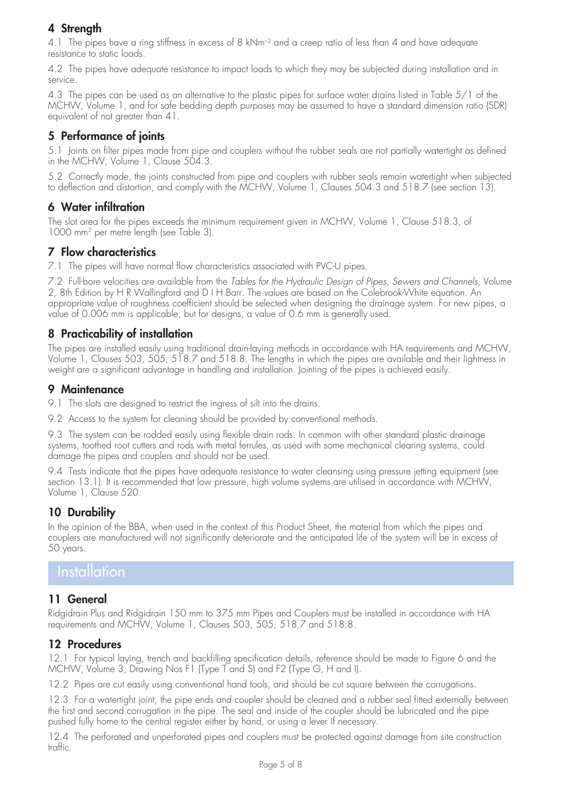### **4 Strength**

4.1 The pipes have a ring stiffness in excess of 8 kNm<sup>-2</sup> and a creep ratio of less than 4 and have adequate resistance to static loads.

4.2 The pipes have adequate resistance to impact loads to which they may be subjected during installation and in service.

4.3 The pipes can be used as an alternative to the plastic pipes for surface water drains listed in Table 5/1 of the MCHW, Volume 1, and for safe bedding depth purposes may be assumed to have a standard dimension ratio (SDR) equivalent of not greater than 41.

### **5 Performance of joints**

5.1 Joints on filter pipes made from pipe and couplers without the rubber seals are not partially watertight as defined in the MCHW, Volume 1, Clause 504.3.

5.2 Correctly made, the joints constructed from pipe and couplers with rubber seals remain watertight when subjected to deflection and distortion, and comply with the MCHW, Volume 1, Clauses 504.3 and 518.7 (see section 13).

### **6 Water infiltration**

The slot area for the pipes exceeds the minimum requirement given in MCHW, Volume 1, Clause 518.3, of 1000 mm2 per metre length (see Table 3).

### **7 Flow characteristics**

7.1 The pipes will have normal flow characteristics associated with PVC-U pipes.

7.2 Full-bore velocities are available from the Tables for the Hydraulic Design of Pipes, Sewers and Channels, Volume 2, 8th Edition by H R Wallingford and D I H Barr. The values are based on the Colebrook-White equation. An appropriate value of roughness coefficient should be selected when designing the drainage system. For new pipes, a value of 0.006 mm is applicable, but for designs, a value of 0.6 mm is generally used.

### **8 Practicability of installation**

The pipes are installed easily using traditional drain-laying methods in accordance with HA requirements and MCHW, Volume 1, Clauses 503, 505, 518.7 and 518.8. The lengths in which the pipes are available and their lightness in weight are a significant advantage in handling and installation. Jointing of the pipes is achieved easily.

### **9 Maintenance**

9.1 The slots are designed to restrict the ingress of silt into the drains.

9.2 Access to the system for cleaning should be provided by conventional methods.

9.3 The system can be rodded easily using flexible drain rods. In common with other standard plastic drainage systems, toothed root cutters and rods with metal ferrules, as used with some mechanical clearing systems, could damage the pipes and couplers and should not be used.

9.4 Tests indicate that the pipes have adequate resistance to water cleansing using pressure jetting equipment (see section 13.1). It is recommended that low pressure, high volume systems are utilised in accordance with MCHW, Volume 1, Clause 520.

### **10 Durability**

In the opinion of the BBA, when used in the context of this Product Sheet, the material from which the pipes and couplers are manufactured will not significantly deteriorate and the anticipated life of the system will be in excess of 50 years.

## Installation

### **11 General**

Ridgidrain Plus and Ridgidrain 150 mm to 375 mm Pipes and Couplers must be installed in accordance with HA requirements and MCHW, Volume 1, Clauses 503, 505, 518.7 and 518.8.

### **12 Procedures**

12.1 For typical laying, trench and backfilling specification details, reference should be made to Figure 6 and the MCHW, Volume 3, Drawing Nos F1 (Type T and S) and F2 (Type G, H and I).

12.2 Pipes are cut easily using conventional hand tools, and should be cut square between the corrugations.

12.3 For a watertight joint, the pipe ends and coupler should be cleaned and a rubber seal fitted externally between the first and second corrugation in the pipe. The seal and inside of the coupler should be lubricated and the pipe pushed fully home to the central register either by hand, or using a lever if necessary.

12.4 The perforated and unperforated pipes and couplers must be protected against damage from site construction traffic.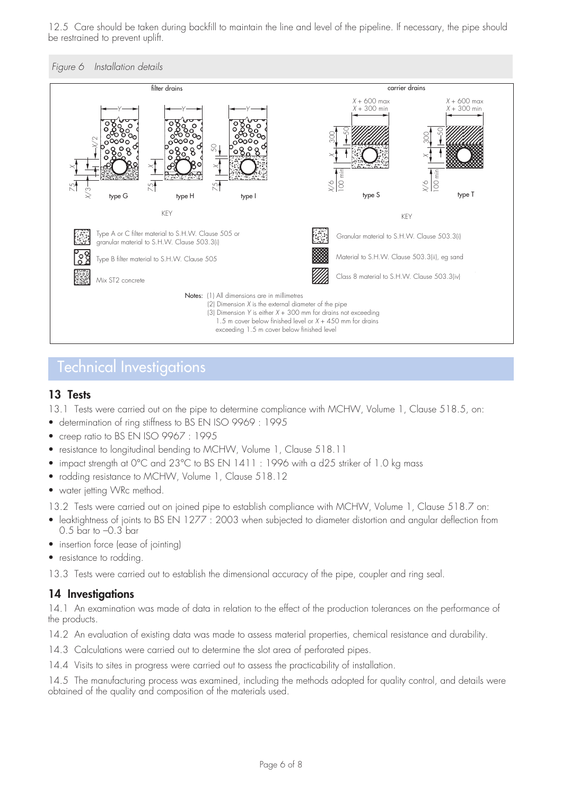12.5 Care should be taken during backfill to maintain the line and level of the pipeline. If necessary, the pipe should be restrained to prevent uplift.





## Technical Investigations

#### **13 Tests**

13.1 Tests were carried out on the pipe to determine compliance with MCHW, Volume 1, Clause 518.5, on:

- determination of ring stiffness to BS EN ISO 9969 : 1995
- creep ratio to BS EN ISO 9967 : 1995
- resistance to longitudinal bending to MCHW, Volume 1, Clause 518.11
- impact strength at 0°C and 23°C to BS EN 1411 : 1996 with a d25 striker of 1.0 kg mass
- rodding resistance to MCHW, Volume 1, Clause 518.12
- water jetting WRc method.

13.2 Tests were carried out on joined pipe to establish compliance with MCHW, Volume 1, Clause 518.7 on:

- leaktightness of joints to BS EN 1277 : 2003 when subjected to diameter distortion and angular deflection from 0.5 bar to –0.3 bar
- insertion force (ease of jointing)
- resistance to rodding.

13.3 Tests were carried out to establish the dimensional accuracy of the pipe, coupler and ring seal.

#### **14 Investigations**

14.1 An examination was made of data in relation to the effect of the production tolerances on the performance of the products.

14.2 An evaluation of existing data was made to assess material properties, chemical resistance and durability.

- 14.3 Calculations were carried out to determine the slot area of perforated pipes.
- 14.4 Visits to sites in progress were carried out to assess the practicability of installation.

14.5 The manufacturing process was examined, including the methods adopted for quality control, and details were obtained of the quality and composition of the materials used.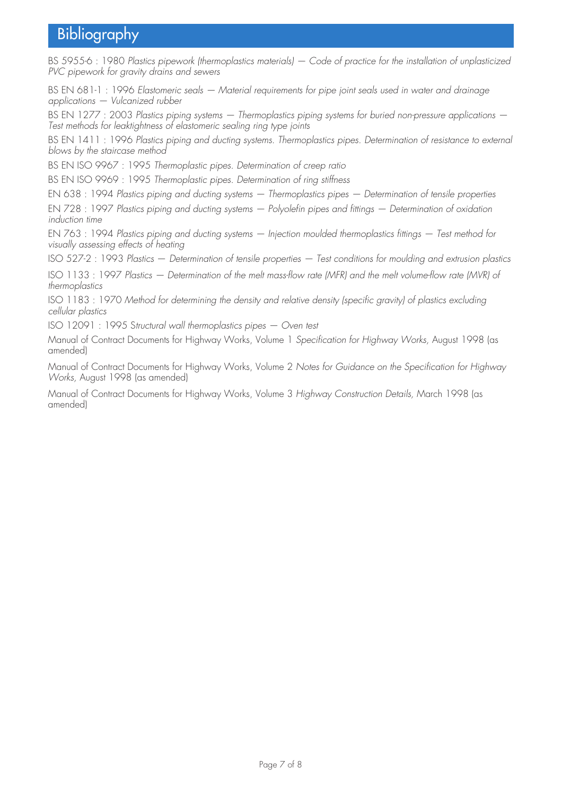# Bibliography

BS 5955-6 : 1980 Plastics pipework (thermoplastics materials) — Code of practice for the installation of unplasticized PVC pipework for gravity drains and sewers

BS EN 681-1 : 1996 Elastomeric seals — Material requirements for pipe joint seals used in water and drainage applications — Vulcanized rubber

BS EN 1277 : 2003 Plastics piping systems - Thermoplastics piping systems for buried non-pressure applications -Test methods for leaktightness of elastomeric sealing ring type joints

BS EN 1411 : 1996 Plastics piping and ducting systems. Thermoplastics pipes. Determination of resistance to external blows by the staircase method

BS EN ISO 9967 : 1995 Thermoplastic pipes. Determination of creep ratio

BS EN ISO 9969 : 1995 Thermoplastic pipes. Determination of ring stiffness

EN 638 : 1994 Plastics piping and ducting systems — Thermoplastics pipes — Determination of tensile properties

EN 728 : 1997 Plastics piping and ducting systems — Polyolefin pipes and fittings — Determination of oxidation induction time

EN 763 : 1994 Plastics piping and ducting systems — Injection moulded thermoplastics fittings — Test method for visually assessing effects of heating

ISO 527-2 : 1993 Plastics — Determination of tensile properties — Test conditions for moulding and extrusion plastics

ISO 1133 : 1997 Plastics — Determination of the melt mass-flow rate (MFR) and the melt volume-flow rate (MVR) of thermoplastics

ISO 1183 : 1970 Method for determining the density and relative density (specific gravity) of plastics excluding cellular plastics

ISO 12091 : 1995 Structural wall thermoplastics pipes — Oven test

Manual of Contract Documents for Highway Works, Volume 1 Specification for Highway Works, August 1998 (as amended)

Manual of Contract Documents for Highway Works, Volume 2 Notes for Guidance on the Specification for Highway Works, August 1998 (as amended)

Manual of Contract Documents for Highway Works, Volume 3 Highway Construction Details, March 1998 (as amended)